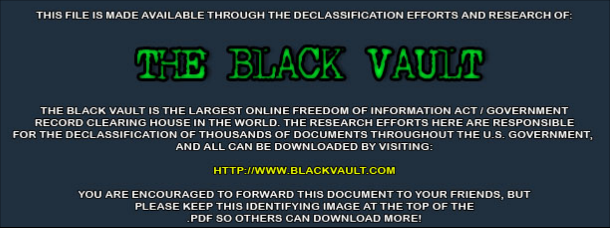THIS FILE IS MADE AVAILABLE THROUGH THE DECLASSIFICATION EFFORTS AND RESEARCH OF:



THE BLACK VAULT IS THE LARGEST ONLINE FREEDOM OF INFORMATION ACT / GOVERNMENT RECORD CLEARING HOUSE IN THE WORLD. THE RESEARCH EFFORTS HERE ARE RESPONSIBLE FOR THE DECLASSIFICATION OF THOUSANDS OF DOCUMENTS THROUGHOUT THE U.S. GOVERNMENT, AND ALL CAN BE DOWNLOADED BY VISITING:

**HTTP://WWW.BLACKVAULT.COM** 

YOU ARE ENCOURAGED TO FORWARD THIS DOCUMENT TO YOUR FRIENDS, BUT PLEASE KEEP THIS IDENTIFYING IMAGE AT THE TOP OF THE PDF SO OTHERS CAN DOWNLOAD MORE!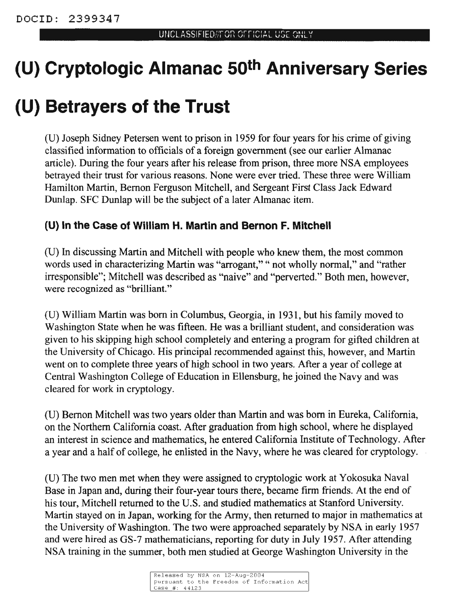# **(U) Cryptologic Almanac 50th Anniversary Series**

# **(U) Betrayers of the Trust**

(U) Joseph Sidney Petersen went to prison in 1959 for four years for his crime of giving classified information to officials of a foreign government (see our earlier Almanac article). During the four years after his release from prison, three more NSA employees betrayed their trust for various reasons. None were ever tried. These three were William Hamilton Martin, Bernon Ferguson Mitchell, and Sergeant First Class Jack Edward Dunlap. SFC Dunlap will be the subject of a later Almanac item.

## **(U) In the Case of William H. Martin and Bernon F. Mitchell**

(U) In discussing Martin and Mitchell with people who knew them, the most common words used in characterizing Martin was "arrogant," " not wholly normal," and "rather irresponsible"; Mitchell was described as "naive" and "perverted." Both men, however, were recognized as "brilliant."

(U) William Martin was born in Columbus, Georgia, in 1931, but his family moved to Washington State when he was fifteen. He was a brilliant student, and consideration was given to his skipping high school completely and entering a program for gifted children at the University of Chicago. His principal recommended against this, however, and Martin went on to complete three years of high school in two years. After a year of college at Central Washington College of Education in Ellensburg, he joined the Navy and was cleared for work in cryptology.

(U) Bemon Mitchell was two years older than Martin and was born in Eureka, California, on the Northern California coast. After graduation from high school, where he displayed an interest in science and mathematics, he entered California Institute of Technology. After a year and a half of college, he enlisted in the Navy, where he was cleared for cryptology.

(U) The two men met when they were assigned to cryptologic work at Yokosuka Naval Base in Japan and, during their four-year tours there, became firm friends. At the end of his tour, Mitchell returned to the U.S. and studied mathematics at Stanford University. Martin stayed on in Japan, working for the Army, then returned to major in mathematics at the University of Washington. The two were approached separately by NSA in early 1957 and were hired as GS-7 mathematicians, reporting for duty in July 1957. After attending NSA training in the summer, both men studied at George Washington University in the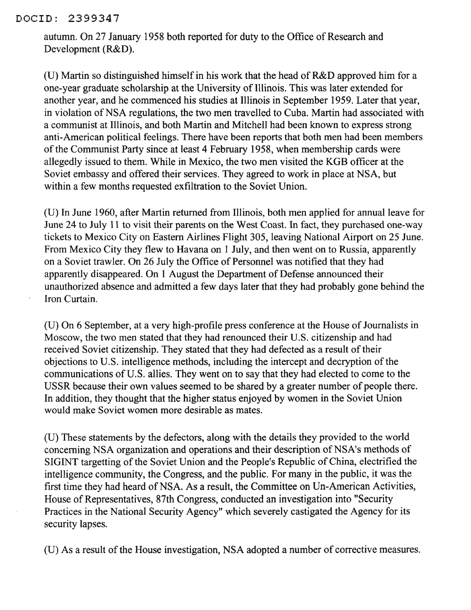#### DOCID: 2399347

autumn. On 27 January 1958 both reported for duty to the Office of Research and Development (R&D).

(U) Martin so distinguished himself in his work that the head of  $R&D$  approved him for a one-year graduate scholarship at the University of Illinois. This was later extended for another year, and he commenced his studies at Illinois in September 1959. Later that year, in violation of NSA regulations, the two men travelled to Cuba. Martin had associated with a communist at Illinois, and both Martin and Mitchell had been known to express strong anti-American political feelings. There have been reports that both men had been members of the Communist Party since at least 4 February 1958, when membership cards were allegedly issued to them. While in Mexico, the two men visited the KGB officer at the Soviet embassy and offered their services. They agreed to work in place at NSA, but within a few months requested exfiltration to the Soviet Union.

(U) In June 1960, after Martin returned from Illinois, both men applied for annual leave for June 24 to July 11 to visit their parents on the West Coast. In fact, they purchased one-way tickets to Mexico City on Eastern Airlines Flight 305, leaving National Airport on 25 June. From Mexico City they flew to Havana on 1 July, and then went on to Russia, apparently on a Soviet trawler. On 26 July the Office of Personnel was notified that they had apparently disappeared. On 1 August the Department of Defense announced their unauthorized absence and admitted a few days later that they had probably gone behind the Iron Curtain.

(U) On 6 September, at a very high-profile press conference at the House of Journalists in Moscow, the two men stated that they had renounced their U.S. citizenship and had received Soviet citizenship. They stated that they had defected as a result of their objections to U.S. intelligence methods, including the intercept and decryption of the communications of U.S. allies. They went on to say that they had elected to come to the USSR because their own values seemed to be shared by a greater number of people there. In addition, they thought that the higher status enjoyed by women in the Soviet Union would make Soviet women more desirable as mates.

(U) These statements by the defectors, along with the details they provided to the world concerning NSA organization and operations and their description of NSA's methods of SIGINT targetting of the Soviet Union and the People's Republic of China, electrified the intelligence community, the Congress, and the public. For many in the public, it was the first time they had heard of NSA. As a result, the Committee on Un-American Activities, House of Representatives, 87th Congress, conducted an investigation into "Security Practices in the National Security Agency" which severely castigated the Agency for its security lapses.

(U) As a result of the House investigation, NSA adopted a number of corrective measures.